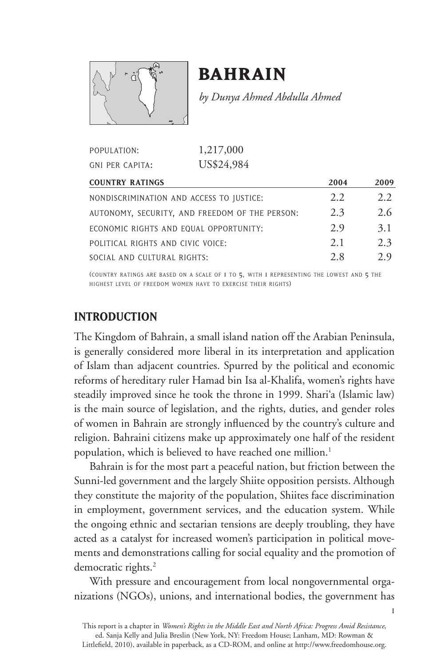

 **bahrain**

 *by Dunya Ahmed Abdulla Ahmed*

| POPULATION:                                    | 1,217,000                                                                                 |      |      |
|------------------------------------------------|-------------------------------------------------------------------------------------------|------|------|
| <b>GNI PER CAPITA:</b>                         | US\$24,984                                                                                |      |      |
| <b>COUNTRY RATINGS</b>                         |                                                                                           | 2004 | 2009 |
| NONDISCRIMINATION AND ACCESS TO JUSTICE:       |                                                                                           | 2.2  | 2.2  |
| AUTONOMY, SECURITY, AND FREEDOM OF THE PERSON: |                                                                                           | 2.3  | 2.6  |
| ECONOMIC RIGHTS AND EQUAL OPPORTUNITY:         |                                                                                           | 2.9  | 3.1  |
| POLITICAL RIGHTS AND CIVIC VOICE:              |                                                                                           | 2.1  | 2.3  |
| SOCIAL AND CULTURAL RIGHTS:                    |                                                                                           | 2.8  | 2.9  |
|                                                | (COUNTRY RATINGS ARE BASED ON A SCALE OF I TO 5, WITH I REPRESENTING THE LOWEST AND 5 THE |      |      |

HIGHEST LEVEL OF FREEDOM WOMEN HAVE TO EXERCISE THEIR RIGHTS)

**INTRODUCTION**

The Kingdom of Bahrain, a small island nation off the Arabian Peninsula, is generally considered more liberal in its interpretation and application of Islam than adjacent countries. Spurred by the political and economic reforms of hereditary ruler Hamad bin Isa al-Khalifa, women's rights have steadily improved since he took the throne in 1999. Shari'a (Islamic law) is the main source of legislation, and the rights, duties, and gender roles of women in Bahrain are strongly influenced by the country's culture and religion. Bahraini citizens make up approximately one half of the resident population, which is believed to have reached one million.<sup>1</sup>

Bahrain is for the most part a peaceful nation, but friction between the Sunni-led government and the largely Shiite opposition persists. Although they constitute the majority of the population, Shiites face discrimination in employment, government services, and the education system. While the ongoing ethnic and sectarian tensions are deeply troubling, they have acted as a catalyst for increased women's participation in political movements and demonstrations calling for social equality and the promotion of democratic rights.<sup>2</sup>

With pressure and encouragement from local nongovernmental organizations (NGOs), unions, and international bodies, the government has

1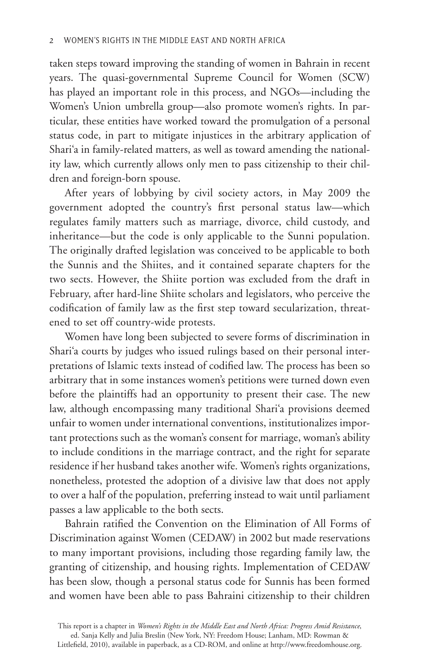taken steps toward improving the standing of women in Bahrain in recent years. The quasi-governmental Supreme Council for Women (SCW) has played an important role in this process, and NGOs—including the Women's Union umbrella group—also promote women's rights. In particular, these entities have worked toward the promulgation of a personal status code, in part to mitigate injustices in the arbitrary application of Shari'a in family-related matters, as well as toward amending the nationality law, which currently allows only men to pass citizenship to their children and foreign-born spouse.

After years of lobbying by civil society actors, in May 2009 the government adopted the country's first personal status law—which regulates family matters such as marriage, divorce, child custody, and inheritance—but the code is only applicable to the Sunni population. The originally drafted legislation was conceived to be applicable to both the Sunnis and the Shiites, and it contained separate chapters for the two sects. However, the Shiite portion was excluded from the draft in February, after hard-line Shiite scholars and legislators, who perceive the codification of family law as the first step toward secularization, threatened to set off country-wide protests.

Women have long been subjected to severe forms of discrimination in Shari'a courts by judges who issued rulings based on their personal interpretations of Islamic texts instead of codified law. The process has been so arbitrary that in some instances women's petitions were turned down even be fore the plaintiffs had an opportunity to present their case. The new law, although encompassing many traditional Shari'a provisions deemed unfair to women under international conventions, institutionalizes important protections such as the woman's consent for marriage, woman's ability to include conditions in the marriage contract, and the right for separate residence if her husband takes another wife. Women's rights organizations, nonetheless, protested the adoption of a divisive law that does not apply to over a half of the population, preferring instead to wait until parliament passes a law applicable to the both sects.

Bahrain ratified the Convention on the Elimination of All Forms of Discrimination against Women (CEDAW) in 2002 but made reservations to many important provisions, including those regarding family law, the granting of citizenship, and housing rights. Implementation of CEDAW has been slow, though a personal status code for Sunnis has been formed and women have been able to pass Bahraini citizenship to their children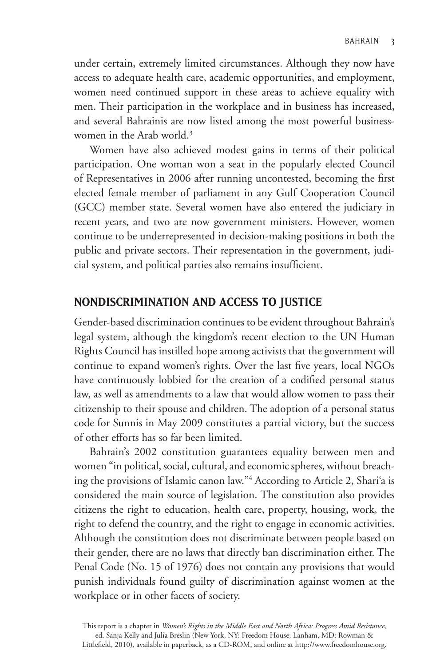under certain, extremely limited circumstances. Although they now have access to adequate health care, academic opportunities, and employment, women need continued support in these areas to achieve equality with men. Their participation in the workplace and in business has increased, and several Bahrainis are now listed among the most powerful businesswomen in the Arab world.<sup>3</sup>

Women have also achieved modest gains in terms of their political participation. One woman won a seat in the popularly elected Council of Representatives in 2006 after running uncontested, becoming the first elected female member of parliament in any Gulf Cooperation Council (GCC) member state. Several women have also entered the judiciary in re cent years, and two are now government ministers. However, women continue to be underrepresented in decision-making positions in both the public and private sectors. Their representation in the government, judicial system, and political parties also remains insufficient.

### **NONDISCRIMINATION AND ACCESS TO JUSTICE**

Gender-based discrimination continues to be evident throughout Bahrain's legal system, although the kingdom's recent election to the UN Human Rights Council has instilled hope among activists that the government will continue to expand women's rights. Over the last five years, local NGOs have continuously lobbied for the creation of a codified personal status law, as well as amendments to a law that would allow women to pass their citizenship to their spouse and children. The adoption of a personal status code for Sunnis in May 2009 constitutes a partial victory, but the success of other efforts has so far been limited.

Bahrain's 2002 constitution guarantees equality between men and women "in political, social, cultural, and economic spheres, without breaching the provisions of Islamic canon law."4 According to Article 2, Shari'a is considered the main source of legislation. The constitution also provides citizens the right to education, health care, property, housing, work, the right to defend the country, and the right to engage in economic activities. Although the constitution does not discriminate between people based on their gender, there are no laws that directly ban discrimination either. The Penal Code (No. 15 of 1976) does not contain any provisions that would punish individuals found guilty of discrimination against women at the workplace or in other facets of society.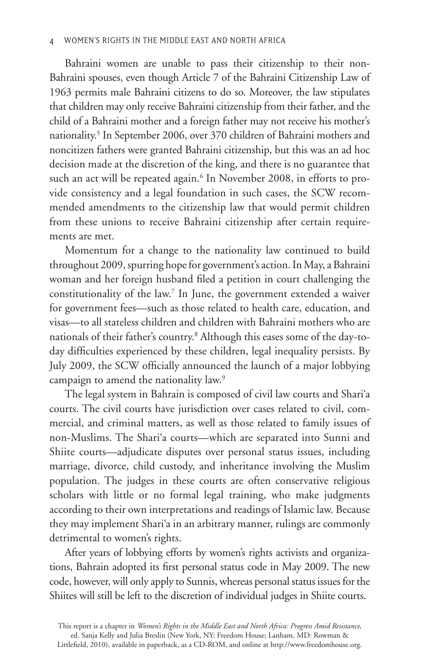#### 4 WOMEN'S RIGHTS IN THE MIDDLE EAST AND NORTH AFRICA

Bahraini women are unable to pass their citizenship to their non-Bahraini spouses, even though Article 7 of the Bahraini Citizenship Law of 1963 permits male Bahraini citizens to do so. Moreover, the law stipulates that children may only receive Bahraini citizenship from their father, and the child of a Bahraini mother and a foreign father may not receive his mother's nationality.5 In September 2006, over 370 children of Bahraini mothers and noncitizen fathers were granted Bahraini citizenship, but this was an ad hoc decision made at the discretion of the king, and there is no guarantee that such an act will be repeated again.<sup>6</sup> In November 2008, in efforts to provide consistency and a legal foundation in such cases, the SCW recommended amendments to the citizenship law that would permit children from these unions to receive Bahraini citizenship after certain requirements are met.

Momentum for a change to the nationality law continued to build throughout 2009, spurring hope for government's action. In May, a Bahraini woman and her foreign husband filed a petition in court challenging the constitutionality of the law.7 In June, the government extended a waiver for government fees—such as those related to health care, education, and visas—to all stateless children and children with Bahraini mothers who are nationals of their father's country.8 Although this eases some of the day-today difficulties experienced by these children, legal inequality persists. By July 2009, the SCW officially announced the launch of a major lobbying campaign to amend the nationality law.<sup>9</sup>

The legal system in Bahrain is composed of civil law courts and Shari'a courts. The civil courts have jurisdiction over cases related to civil, commercial, and criminal matters, as well as those related to family issues of non-Muslims. The Shari'a courts—which are separated into Sunni and Shiite courts—adjudicate disputes over personal status issues, including marriage, divorce, child custody, and inheritance involving the Muslim population. The judges in these courts are often conservative religious scholars with little or no formal legal training, who make judgments according to their own interpretations and readings of Islamic law. Because they may implement Shari'a in an arbitrary manner, rulings are commonly detrimental to women's rights.

After years of lobbying efforts by women's rights activists and organizations, Bahrain adopted its first personal status code in May 2009. The new code, however, will only apply to Sunnis, whereas personal status issues for the Shiites will still be left to the discretion of individual judges in Shiite courts.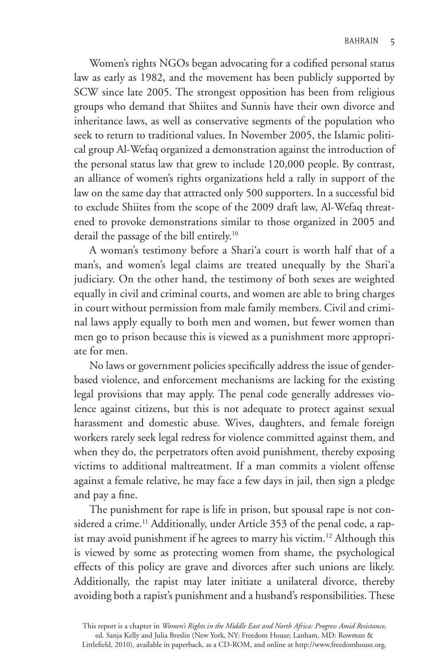Women's rights NGOs began advocating for a codified personal status law as early as 1982, and the movement has been publicly supported by SCW since late 2005. The strongest opposition has been from religious groups who demand that Shiites and Sunnis have their own divorce and inheritance laws, as well as conservative segments of the population who seek to return to traditional values. In November 2005, the Islamic political group Al-Wefaq organized a demonstration against the introduction of the personal status law that grew to include 120,000 people. By contrast, an alliance of women's rights organizations held a rally in support of the law on the same day that attracted only 500 supporters. In a successful bid to exclude Shiites from the scope of the 2009 draft law, Al-Wefaq threatened to provoke demonstrations similar to those organized in 2005 and derail the passage of the bill entirely.<sup>10</sup>

A woman's testimony before a Shari'a court is worth half that of a man's, and women's legal claims are treated unequally by the Shari'a judiciary. On the other hand, the testimony of both sexes are weighted equally in civil and criminal courts, and women are able to bring charges in court without permission from male family members. Civil and criminal laws apply equally to both men and women, but fewer women than men go to prison because this is viewed as a punishment more appropriate for men.

No laws or government policies specifically address the issue of genderbased violence, and enforcement mechanisms are lacking for the existing legal provisions that may apply. The penal code generally addresses violence against citizens, but this is not adequate to protect against sexual harassment and domestic abuse. Wives, daughters, and female foreign workers rarely seek legal redress for violence committed against them, and when they do, the perpetrators often avoid punishment, thereby exposing victims to additional maltreatment. If a man commits a violent offense against a female relative, he may face a few days in jail, then sign a pledge and pay a fine.

The punishment for rape is life in prison, but spousal rape is not considered a crime.<sup>11</sup> Additionally, under Article 353 of the penal code, a rapist may avoid punishment if he agrees to marry his victim.<sup>12</sup> Although this is viewed by some as protecting women from shame, the psychological effects of this policy are grave and divorces after such unions are likely. Additionally, the rapist may later initiate a unilateral divorce, thereby avoiding both a rapist's punishment and a husband's responsibilities. These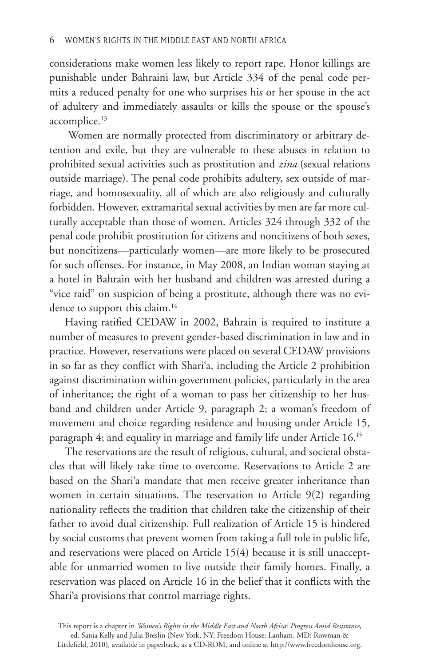considerations make women less likely to report rape. Honor killings are punishable under Bahraini law, but Article 334 of the penal code permits a reduced penalty for one who surprises his or her spouse in the act of adultery and immediately assaults or kills the spouse or the spouse's accomplice.<sup>13</sup>

Women are normally protected from discriminatory or arbitrary detention and exile, but they are vulnerable to these abuses in relation to prohibited sexual activities such as prostitution and *zina* (sexual relations outside marriage). The penal code prohibits adultery, sex outside of marriage, and homosexuality, all of which are also religiously and culturally forbidden. However, extramarital sexual activities by men are far more culturally acceptable than those of women. Articles 324 through 332 of the penal code prohibit prostitution for citizens and noncitizens of both sexes, but noncitizens—particularly women—are more likely to be prosecuted for such offenses. For instance, in May 2008, an Indian woman staying at a hotel in Bahrain with her husband and children was arrested during a "vice raid" on suspicion of being a prostitute, although there was no evidence to support this claim.<sup>14</sup>

Having ratified CEDAW in 2002, Bahrain is required to institute a number of measures to prevent gender-based discrimination in law and in practice. However, reservations were placed on several CEDAW provisions in so far as they conflict with Shari'a, including the Article 2 prohibition against discrimination within government policies, particularly in the area of inheritance; the right of a woman to pass her citizenship to her husband and children under Article 9, paragraph 2; a woman's freedom of movement and choice regarding residence and housing under Article 15, paragraph 4; and equality in marriage and family life under Article 16.15

The reservations are the result of religious, cultural, and societal obstacles that will likely take time to overcome. Reservations to Article 2 are based on the Shari'a mandate that men receive greater inheritance than women in certain situations. The reservation to Article 9(2) regarding nationality reflects the tradition that children take the citizenship of their father to avoid dual citizenship. Full realization of Article 15 is hindered by social customs that prevent women from taking a full role in public life, and reservations were placed on Article 15(4) because it is still unacceptable for unmarried women to live outside their family homes. Finally, a reservation was placed on Article 16 in the belief that it conflicts with the Shari'a provisions that control marriage rights.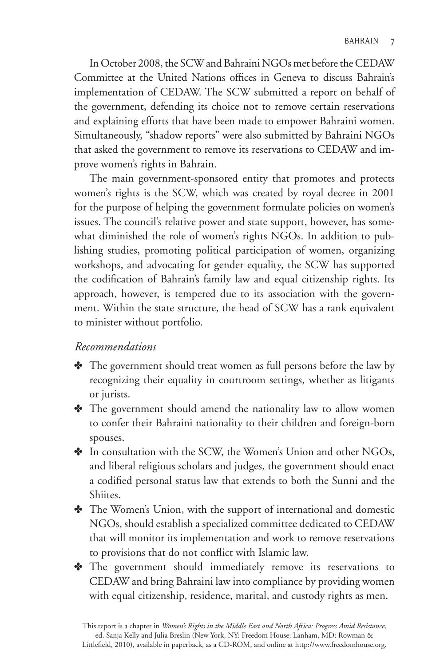In October 2008, the SCW and Bahraini NGOs met before the CEDAW Committee at the United Nations offices in Geneva to discuss Bahrain's implementation of CEDAW. The SCW submitted a report on behalf of the government, defending its choice not to remove certain reservations and explaining efforts that have been made to empower Bahraini women. Simultaneously, "shadow reports" were also submitted by Bahraini NGOs that asked the government to remove its reservations to CEDAW and im prove women's rights in Bahrain.

The main government-sponsored entity that promotes and protects women's rights is the SCW, which was created by royal decree in 2001 for the purpose of helping the government formulate policies on women's issues. The council's relative power and state support, however, has somewhat diminished the role of women's rights NGOs. In addition to publishing studies, promoting political participation of women, organizing workshops, and advocating for gender equality, the SCW has supported the codification of Bahrain's family law and equal citizenship rights. Its approach, however, is tempered due to its association with the government. Within the state structure, the head of SCW has a rank equivalent to minister without portfolio.

## *Recommendations*

- $\cdot \cdot$  The government should treat women as full persons before the law by recognizing their equality in courtroom settings, whether as litigants or jurists.
- **\*** The government should amend the nationality law to allow women to confer their Bahraini nationality to their children and foreign-born spouses.
- $\clubsuit$  In consultation with the SCW, the Women's Union and other NGOs, and liberal religious scholars and judges, the government should enact a codified personal status law that extends to both the Sunni and the Shiites.
- **\*** The Women's Union, with the support of international and domestic NGOs, should establish a specialized committee dedicated to CEDAW that will monitor its implementation and work to remove reservations to provisions that do not conflict with Islamic law.
- The government should immediately remove its reservations to CEDAW and bring Bahraini law into compliance by providing women with equal citizenship, residence, marital, and custody rights as men.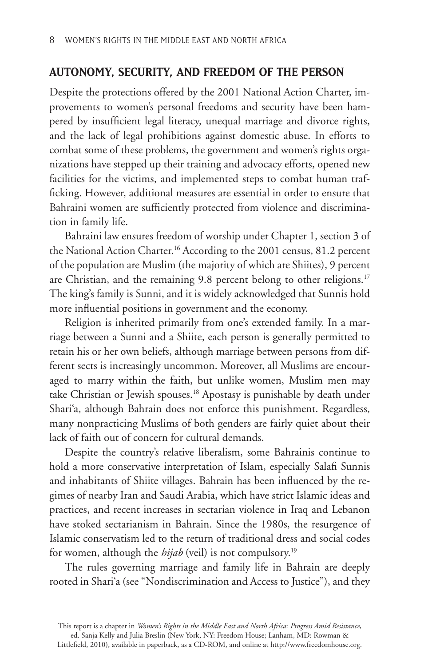### **AUTONOMY, SECURITY, AND FREEDOM OF THE PERSON**

Despite the protections offered by the 2001 National Action Charter, im provements to women's personal freedoms and security have been hampered by insufficient legal literacy, unequal marriage and divorce rights, and the lack of legal prohibitions against domestic abuse. In efforts to combat some of these problems, the government and women's rights organizations have stepped up their training and advocacy efforts, opened new facilities for the victims, and implemented steps to combat human trafficking. However, additional measures are essential in order to ensure that Bahraini women are sufficiently protected from violence and discrimination in family life.

Bahraini law ensures freedom of worship under Chapter 1, section 3 of the National Action Charter.16 According to the 2001 census, 81.2 percent of the population are Muslim (the majority of which are Shiites), 9 percent are Christian, and the remaining 9.8 percent belong to other religions.<sup>17</sup> The king's family is Sunni, and it is widely acknowledged that Sunnis hold more influential positions in government and the economy.

Religion is inherited primarily from one's extended family. In a marriage between a Sunni and a Shiite, each person is generally permitted to retain his or her own beliefs, although marriage between persons from different sects is increasingly uncommon. Moreover, all Muslims are encouraged to marry within the faith, but unlike women, Muslim men may take Christian or Jewish spouses.18 Apostasy is punishable by death under Shari'a, although Bahrain does not enforce this punishment. Regardless, many nonpracticing Muslims of both genders are fairly quiet about their lack of faith out of concern for cultural demands.

Despite the country's relative liberalism, some Bahrainis continue to hold a more conservative interpretation of Islam, especially Salafi Sunnis and inhabitants of Shiite villages. Bahrain has been influenced by the regimes of nearby Iran and Saudi Arabia, which have strict Islamic ideas and practices, and recent increases in sectarian violence in Iraq and Lebanon have stoked sectarianism in Bahrain. Since the 1980s, the resurgence of Islamic conservatism led to the return of traditional dress and social codes for women, although the *hijab* (veil) is not compulsory.19

The rules governing marriage and family life in Bahrain are deeply rooted in Shari'a (see "Nondiscrimination and Access to Justice"), and they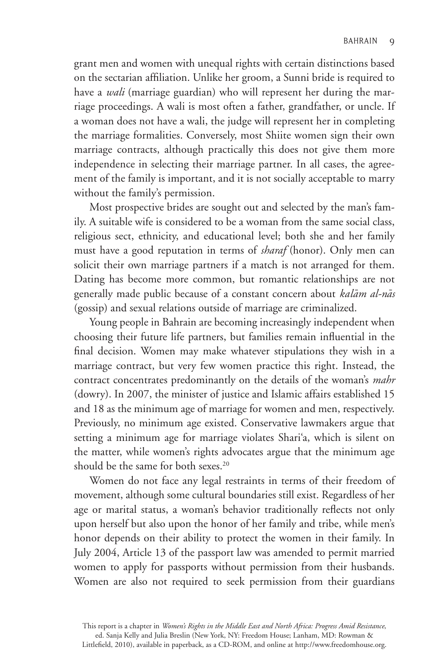grant men and women with unequal rights with certain distinctions based on the sectarian affiliation. Unlike her groom, a Sunni bride is required to have a *wali* (marriage guardian) who will represent her during the marriage proceedings. A wali is most often a father, grandfather, or uncle. If a woman does not have a wali, the judge will represent her in completing the marriage formalities. Conversely, most Shiite women sign their own marriage contracts, although practically this does not give them more independence in selecting their marriage partner. In all cases, the agreement of the family is important, and it is not socially acceptable to marry without the family's permission.

Most prospective brides are sought out and selected by the man's family. A suitable wife is considered to be a woman from the same social class, religious sect, ethnicity, and educational level; both she and her family must have a good reputation in terms of *sharaf* (honor). Only men can solicit their own marriage partners if a match is not arranged for them. Dating has become more common, but romantic relationships are not generally made public because of a constant concern about *kalām al-nās* (gossip) and sexual relations outside of marriage are criminalized.

Young people in Bahrain are becoming increasingly independent when choosing their future life partners, but families remain influential in the final decision. Women may make whatever stipulations they wish in a marriage contract, but very few women practice this right. Instead, the contract concentrates predominantly on the details of the woman's *mahr*  (dowry). In 2007, the minister of justice and Islamic affairs established 15 and 18 as the minimum age of marriage for women and men, respectively. Previously, no minimum age existed. Conservative lawmakers argue that setting a minimum age for marriage violates Shari'a, which is silent on the matter, while women's rights advocates argue that the minimum age should be the same for both sexes.<sup>20</sup>

Women do not face any legal restraints in terms of their freedom of movement, although some cultural boundaries still exist. Regardless of her age or marital status, a woman's behavior traditionally reflects not only upon herself but also upon the honor of her family and tribe, while men's honor depends on their ability to protect the women in their family. In July 2004, Article 13 of the passport law was amended to permit married women to apply for passports without permission from their husbands. Women are also not required to seek permission from their guardians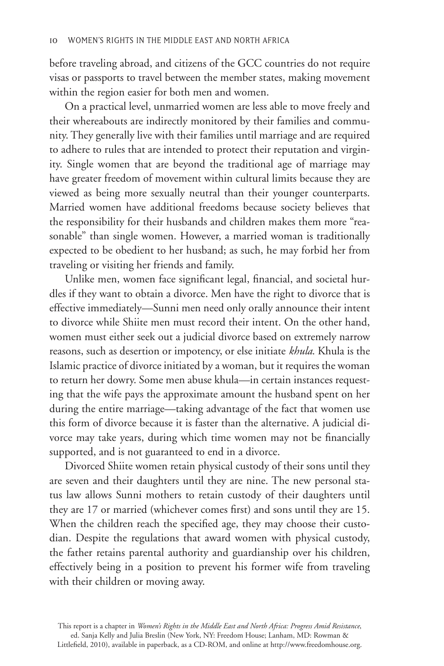before traveling abroad, and citizens of the GCC countries do not require visas or passports to travel between the member states, making movement within the region easier for both men and women.

On a practical level, unmarried women are less able to move freely and their whereabouts are indirectly monitored by their families and community. They generally live with their families until marriage and are required to adhere to rules that are intended to protect their reputation and virginity. Single women that are beyond the traditional age of marriage may have greater freedom of movement within cultural limits because they are viewed as being more sexually neutral than their younger counterparts. Married women have additional freedoms because society believes that the responsibility for their husbands and children makes them more "reasonable" than single women. However, a married woman is traditionally expected to be obedient to her husband; as such, he may forbid her from traveling or visiting her friends and family.

Unlike men, women face significant legal, financial, and societal hurdles if they want to obtain a divorce. Men have the right to divorce that is effective immediately—Sunni men need only orally announce their intent to divorce while Shiite men must record their intent. On the other hand, women must either seek out a judicial divorce based on extremely narrow reasons, such as desertion or impotency, or else initiate *khula*. Khula is the Islamic practice of divorce initiated by a woman, but it requires the woman to return her dowry. Some men abuse khula—in certain instances requesting that the wife pays the approximate amount the husband spent on her during the entire marriage—taking advantage of the fact that women use this form of divorce because it is faster than the alternative. A judicial divorce may take years, during which time women may not be financially supported, and is not guaranteed to end in a divorce.

Divorced Shiite women retain physical custody of their sons until they are seven and their daughters until they are nine. The new personal status law allows Sunni mothers to retain custody of their daughters until they are 17 or married (whichever comes first) and sons until they are 15. When the children reach the specified age, they may choose their custodian. Despite the regulations that award women with physical custody, the father retains parental authority and guardianship over his children, effectively being in a position to prevent his former wife from traveling with their children or moving away.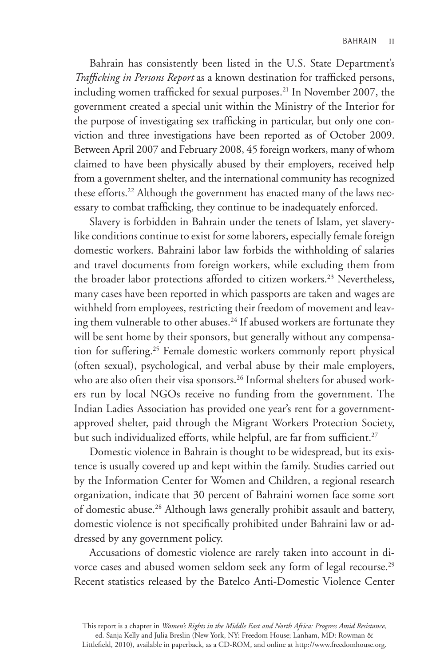Bahrain has consistently been listed in the U.S. State Department's *Trafficking in Persons Report* as a known destination for trafficked persons, including women trafficked for sexual purposes.<sup>21</sup> In November 2007, the government created a special unit within the Ministry of the Interior for the purpose of investigating sex trafficking in particular, but only one conviction and three investigations have been reported as of October 2009. Between April 2007 and February 2008, 45 foreign workers, many of whom claimed to have been physically abused by their employers, received help from a government shelter, and the international community has recognized these efforts.<sup>22</sup> Although the government has enacted many of the laws necessary to combat trafficking, they continue to be inadequately enforced.

Slavery is forbidden in Bahrain under the tenets of Islam, yet slaverylike conditions continue to exist for some laborers, especially female foreign domestic workers. Bahraini labor law forbids the withholding of salaries and travel documents from foreign workers, while excluding them from the broader labor protections afforded to citizen workers.<sup>23</sup> Nevertheless, many cases have been reported in which passports are taken and wages are withheld from employees, restricting their freedom of movement and leaving them vulnerable to other abuses.<sup>24</sup> If abused workers are fortunate they will be sent home by their sponsors, but generally without any compensation for suffering.<sup>25</sup> Female domestic workers commonly report physical (often sexual), psychological, and verbal abuse by their male employers, who are also often their visa sponsors.<sup>26</sup> Informal shelters for abused workers run by local NGOs receive no funding from the government. The Indian Ladies Association has provided one year's rent for a governmentapproved shelter, paid through the Migrant Workers Protection Society, but such individualized efforts, while helpful, are far from sufficient.<sup>27</sup>

Domestic violence in Bahrain is thought to be widespread, but its existence is usually covered up and kept within the family. Studies carried out by the Information Center for Women and Children, a regional research organization, indicate that 30 percent of Bahraini women face some sort of domestic abuse.28 Although laws generally prohibit assault and battery, domestic violence is not specifically prohibited under Bahraini law or addressed by any government policy.

Accusations of domestic violence are rarely taken into account in divorce cases and abused women seldom seek any form of legal recourse.<sup>29</sup> Recent statistics released by the Batelco Anti-Domestic Violence Center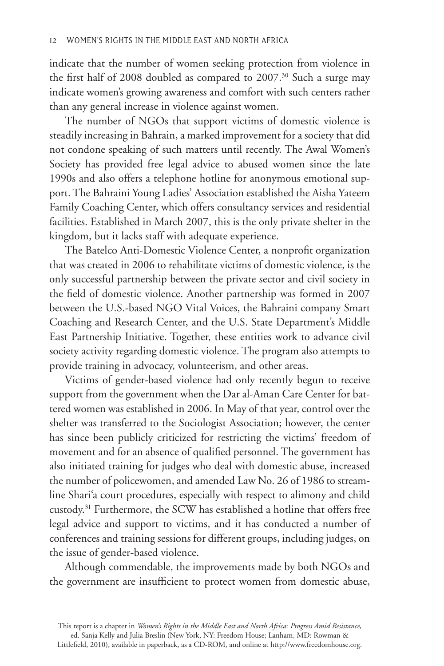indicate that the number of women seeking protection from violence in the first half of 2008 doubled as compared to 2007.<sup>30</sup> Such a surge may indicate women's growing awareness and comfort with such centers rather than any general increase in violence against women.

The number of NGOs that support victims of domestic violence is steadily increasing in Bahrain, a marked improvement for a society that did not condone speaking of such matters until recently. The Awal Women's Society has provided free legal advice to abused women since the late 1990s and also offers a telephone hotline for anonymous emotional support. The Bahraini Young Ladies' Association established the Aisha Yateem Family Coaching Center, which offers consultancy services and residential facilities. Established in March 2007, this is the only private shelter in the kingdom, but it lacks staff with adequate experience.

The Batelco Anti-Domestic Violence Center, a nonprofit organization that was created in 2006 to rehabilitate victims of domestic violence, is the only successful partnership between the private sector and civil society in the field of domestic violence. Another partnership was formed in 2007 between the U.S.-based NGO Vital Voices, the Bahraini company Smart Coaching and Research Center, and the U.S. State Department's Middle East Partnership Initiative. Together, these entities work to advance civil society activity regarding domestic violence. The program also attempts to provide training in advocacy, volunteerism, and other areas.

Victims of gender-based violence had only recently begun to receive support from the government when the Dar al-Aman Care Center for battered women was established in 2006. In May of that year, control over the shelter was transferred to the Sociologist Association; however, the center has since been publicly criticized for restricting the victims' freedom of movement and for an absence of qualified personnel. The government has also initiated training for judges who deal with domestic abuse, increased the number of policewomen, and amended Law No. 26 of 1986 to streamline Shari'a court procedures, especially with respect to alimony and child custody.31 Furthermore, the SCW has established a hotline that offers free legal advice and support to victims, and it has conducted a number of conferences and training sessions for different groups, including judges, on the issue of gender-based violence.

Although commendable, the improvements made by both NGOs and the government are insufficient to protect women from domestic abuse,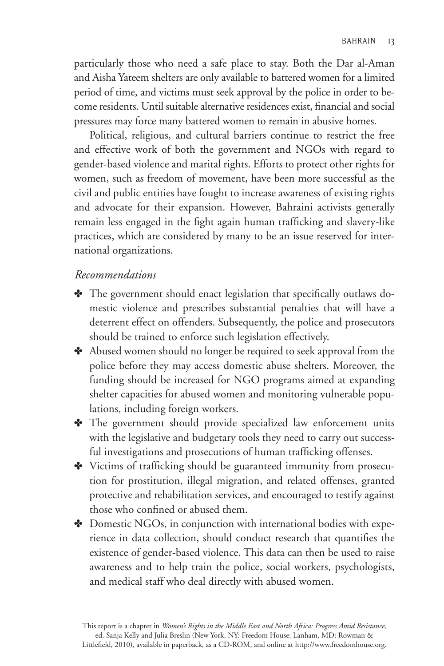particularly those who need a safe place to stay. Both the Dar al-Aman and Aisha Yateem shelters are only available to battered women for a limited period of time, and victims must seek approval by the police in order to be come residents. Until suitable alternative residences exist, financial and social pressures may force many battered women to remain in abusive homes.

Political, religious, and cultural barriers continue to restrict the free and effective work of both the government and NGOs with regard to gender-based violence and marital rights. Efforts to protect other rights for women, such as freedom of movement, have been more successful as the civil and public entities have fought to increase awareness of existing rights and advocate for their expansion. However, Bahraini activists generally remain less engaged in the fight again human trafficking and slavery-like practices, which are considered by many to be an issue reserved for international organizations.

## *Recommendations*

- $\bullet$  The government should enact legislation that specifically outlaws domestic violence and prescribes substantial penalties that will have a deterrent effect on offenders. Subsequently, the police and prosecutors should be trained to enforce such legislation effectively.
- \* Abused women should no longer be required to seek approval from the police before they may access domestic abuse shelters. Moreover, the funding should be increased for NGO programs aimed at expanding shelter capacities for abused women and monitoring vulnerable populations, including foreign workers.
- \* The government should provide specialized law enforcement units with the legislative and budgetary tools they need to carry out successful investigations and prosecutions of human trafficking offenses.
- F Victims of trafficking should be guaranteed immunity from prosecution for prostitution, illegal migration, and related offenses, granted protective and rehabilitation services, and encouraged to testify against those who confined or abused them.
- $\bullet$  Domestic NGOs, in conjunction with international bodies with experience in data collection, should conduct research that quantifies the existence of gender-based violence. This data can then be used to raise awareness and to help train the police, social workers, psychologists, and medical staff who deal directly with abused women.

This report is a chapter in *Women's Rights in the Middle East and North Africa: Progress Amid Resistance*, ed. Sanja Kelly and Julia Breslin (New York, NY: Freedom House; Lanham, MD: Rowman & Littlefield, 2010), available in paperback, as a CD-ROM, and online at http://www.freedomhouse.org.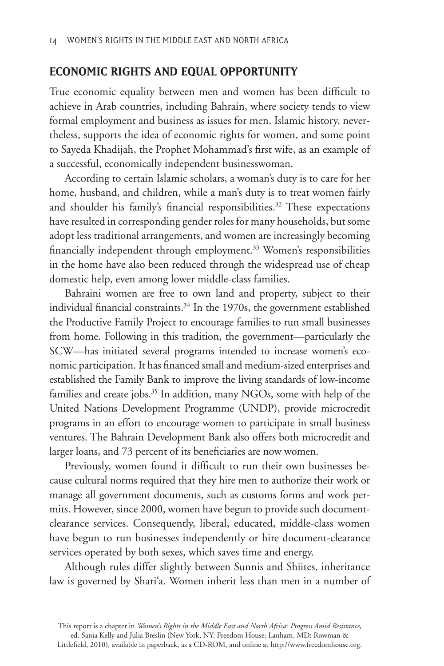### **ECONOMIC RIGHTS AND EQUAL OPPORTUNITY**

True economic equality between men and women has been difficult to achieve in Arab countries, including Bahrain, where society tends to view formal employment and business as issues for men. Islamic history, nevertheless, supports the idea of economic rights for women, and some point to Sayeda Khadijah, the Prophet Mohammad's first wife, as an example of a successful, economically independent businesswoman.

According to certain Islamic scholars, a woman's duty is to care for her home, husband, and children, while a man's duty is to treat women fairly and shoulder his family's financial responsibilities.<sup>32</sup> These expectations have resulted in corresponding gender roles for many households, but some adopt less traditional arrangements, and women are increasingly becoming financially independent through employment.<sup>33</sup> Women's responsibilities in the home have also been reduced through the widespread use of cheap domestic help, even among lower middle-class families.

Bahraini women are free to own land and property, subject to their individual financial constraints.<sup>34</sup> In the 1970s, the government established the Productive Family Project to encourage families to run small businesses from home. Following in this tradition, the government—particularly the SCW—has initiated several programs intended to increase women's economic participation. It has financed small and medium-sized enterprises and established the Family Bank to improve the living standards of low-income families and create jobs.<sup>35</sup> In addition, many NGOs, some with help of the United Nations Development Programme (UNDP), provide microcredit programs in an effort to encourage women to participate in small business ventures. The Bahrain Development Bank also offers both microcredit and larger loans, and 73 percent of its beneficiaries are now women.

Previously, women found it difficult to run their own businesses because cultural norms required that they hire men to authorize their work or manage all government documents, such as customs forms and work permits. However, since 2000, women have begun to provide such documentclearance services. Consequently, liberal, educated, middle-class women have begun to run businesses independently or hire document-clearance services operated by both sexes, which saves time and energy.

Although rules differ slightly between Sunnis and Shiites, inheritance law is governed by Shari'a. Women inherit less than men in a number of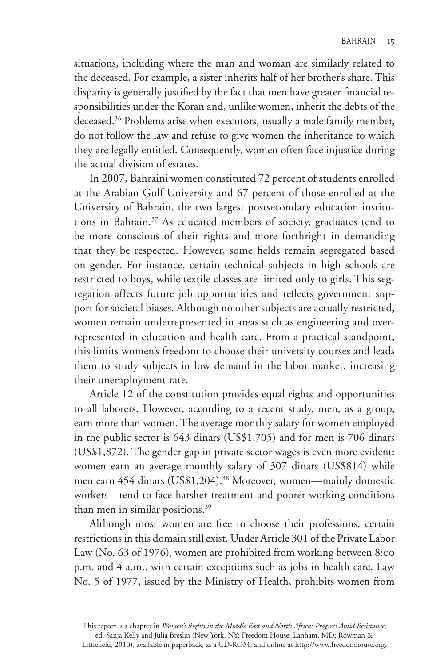situations, including where the man and woman are similarly related to the deceased. For example, a sister inherits half of her brother's share. This disparity is generally justified by the fact that men have greater financial responsibilities under the Koran and, unlike women, inherit the debts of the deceased.36 Problems arise when executors, usually a male family member, do not follow the law and refuse to give women the inheritance to which they are legally entitled. Consequently, women often face injustice during the actual division of estates.

In 2007, Bahraini women constituted 72 percent of students enrolled at the Arabian Gulf University and 67 percent of those enrolled at the University of Bahrain, the two largest postsecondary education institutions in Bahrain.37 As educated members of society, graduates tend to be more conscious of their rights and more forthright in demanding that they be respected. However, some fields remain segregated based on gender. For instance, certain technical subjects in high schools are restricted to boys, while textile classes are limited only to girls. This segregation affects future job opportunities and reflects government support for societal biases. Although no other subjects are actually restricted, women remain underrepresented in areas such as engineering and overrepresented in education and health care. From a practical standpoint, this limits women's freedom to choose their university courses and leads them to study subjects in low demand in the labor market, increasing their unemployment rate.

Article 12 of the constitution provides equal rights and opportunities to all laborers. However, according to a recent study, men, as a group, earn more than women. The average monthly salary for women employed in the public sector is 643 dinars (US\$1,705) and for men is 706 dinars (US\$1,872). The gender gap in private sector wages is even more evident: women earn an average monthly salary of 307 dinars (US\$814) while men earn 454 dinars (US\$1,204).<sup>38</sup> Moreover, women—mainly domestic workers—tend to face harsher treatment and poorer working conditions than men in similar positions.<sup>39</sup>

Although most women are free to choose their professions, certain restrictions in this domain still exist. Under Article 301 of the Private Labor Law (No. 63 of 1976), women are prohibited from working between 8:00 p.m. and 4 a.m., with certain exceptions such as jobs in health care. Law No. 5 of 1977, issued by the Ministry of Health, prohibits women from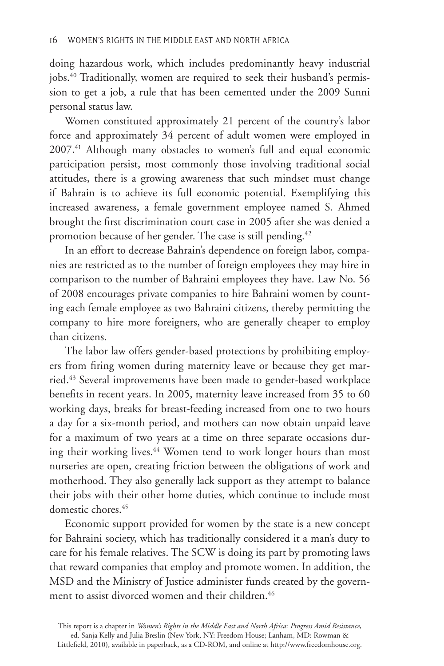doing hazardous work, which includes predominantly heavy industrial jobs.<sup>40</sup> Traditionally, women are required to seek their husband's permission to get a job, a rule that has been cemented under the 2009 Sunni personal status law.

Women constituted approximately 21 percent of the country's labor force and approximately 34 percent of adult women were employed in 2007.41 Although many obstacles to women's full and equal economic participation persist, most commonly those involving traditional social attitudes, there is a growing awareness that such mindset must change if Bahrain is to achieve its full economic potential. Exemplifying this increased awareness, a female government employee named S. Ahmed brought the first discrimination court case in 2005 after she was denied a promotion because of her gender. The case is still pending.<sup>42</sup>

In an effort to decrease Bahrain's dependence on foreign labor, companies are restricted as to the number of foreign employees they may hire in comparison to the number of Bahraini employees they have. Law No. 56 of 2008 encourages private companies to hire Bahraini women by counting each female employee as two Bahraini citizens, thereby permitting the company to hire more foreigners, who are generally cheaper to employ than citizens.

The labor law offers gender-based protections by prohibiting employers from firing women during maternity leave or because they get married.43 Several improvements have been made to gender-based workplace benefits in recent years. In 2005, maternity leave increased from 35 to 60 working days, breaks for breast-feeding increased from one to two hours a day for a six-month period, and mothers can now obtain unpaid leave for a maximum of two years at a time on three separate occasions during their working lives.<sup>44</sup> Women tend to work longer hours than most nurseries are open, creating friction between the obligations of work and motherhood. They also generally lack support as they attempt to balance their jobs with their other home duties, which continue to include most domestic chores.<sup>45</sup>

Economic support provided for women by the state is a new concept for Bahraini society, which has traditionally considered it a man's duty to care for his female relatives. The SCW is doing its part by promoting laws that reward companies that employ and promote women. In addition, the MSD and the Ministry of Justice administer funds created by the government to assist divorced women and their children.<sup>46</sup>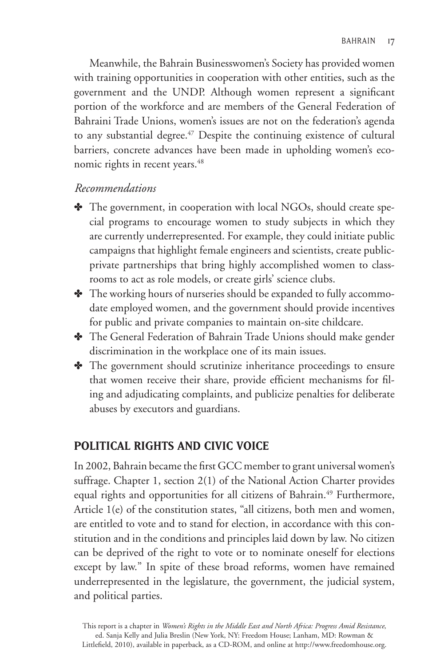Meanwhile, the Bahrain Businesswomen's Society has provided women with training opportunities in cooperation with other entities, such as the government and the UNDP. Although women represent a significant portion of the workforce and are members of the General Federation of Bahraini Trade Unions, women's issues are not on the federation's agenda to any substantial degree.<sup>47</sup> Despite the continuing existence of cultural barriers, concrete advances have been made in upholding women's economic rights in recent years.<sup>48</sup>

## *Recommendations*

- $\bullet$  The government, in cooperation with local NGOs, should create special programs to encourage women to study subjects in which they are currently underrepresented. For example, they could initiate public campaigns that highlight female engineers and scientists, create publicprivate partnerships that bring highly accomplished women to classrooms to act as role models, or create girls' science clubs.
- $\bullet$  The working hours of nurseries should be expanded to fully accommodate employed women, and the government should provide incentives for public and private companies to maintain on-site childcare.
- $\bullet$  The General Federation of Bahrain Trade Unions should make gender discrimination in the workplace one of its main issues.
- **\*** The government should scrutinize inheritance proceedings to ensure that women receive their share, provide efficient mechanisms for filing and adjudicating complaints, and publicize penalties for deliberate abuses by executors and guardians.

# **POLITICAL RIGHTS AND CIVIC VOICE**

In 2002, Bahrain became the first GCC member to grant universal women's suffrage. Chapter 1, section 2(1) of the National Action Charter provides equal rights and opportunities for all citizens of Bahrain.<sup>49</sup> Furthermore, Article 1(e) of the constitution states, "all citizens, both men and women, are entitled to vote and to stand for election, in accordance with this constitution and in the conditions and principles laid down by law. No citizen can be deprived of the right to vote or to nominate oneself for elections except by law." In spite of these broad reforms, women have remained underrepresented in the legislature, the government, the judicial system, and political parties.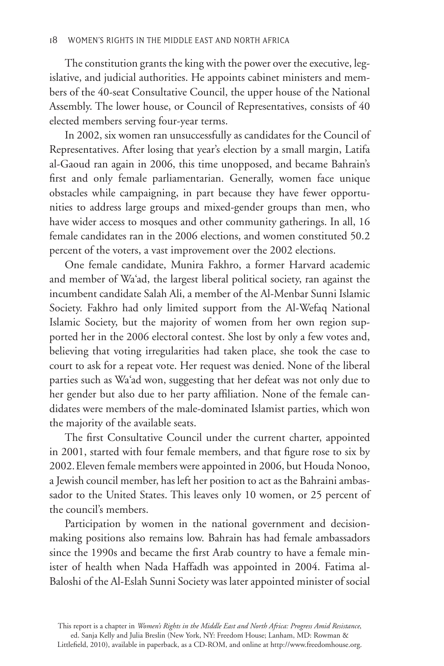The constitution grants the king with the power over the executive, legislative, and judicial authorities. He appoints cabinet ministers and members of the 40-seat Consultative Council, the upper house of the National Assembly. The lower house, or Council of Representatives, consists of 40 elected members serving four-year terms.

In 2002, six women ran unsuccessfully as candidates for the Council of Representatives. After losing that year's election by a small margin, Latifa al-Gaoud ran again in 2006, this time unopposed, and became Bahrain's first and only female parliamentarian. Generally, women face unique obstacles while campaigning, in part because they have fewer opportunities to address large groups and mixed-gender groups than men, who have wider access to mosques and other community gatherings. In all, 16 female candidates ran in the 2006 elections, and women constituted 50.2 percent of the voters, a vast improvement over the 2002 elections.

One female candidate, Munira Fakhro, a former Harvard academic and member of Wa'ad, the largest liberal political society, ran against the incumbent candidate Salah Ali, a member of the Al-Menbar Sunni Islamic Society. Fakhro had only limited support from the Al-Wefaq National Islamic Society, but the majority of women from her own region supported her in the 2006 electoral contest. She lost by only a few votes and, believing that voting irregularities had taken place, she took the case to court to ask for a repeat vote. Her request was denied. None of the liberal parties such as Wa'ad won, suggesting that her defeat was not only due to her gender but also due to her party affiliation. None of the female candidates were members of the male-dominated Islamist parties, which won the majority of the available seats.

The first Consultative Council under the current charter, appointed in 2001, started with four female members, and that figure rose to six by 2002.Eleven female members were appointed in 2006, but Houda Nonoo, a Jewish council member, has left her position to act as the Bahraini ambassador to the United States. This leaves only 10 women, or 25 percent of the council's members.

Participation by women in the national government and decisionmaking positions also remains low. Bahrain has had female ambassadors since the 1990s and became the first Arab country to have a female minister of health when Nada Haffadh was appointed in 2004. Fatima al-Baloshi of the Al-Eslah Sunni Society was later appointed minister of social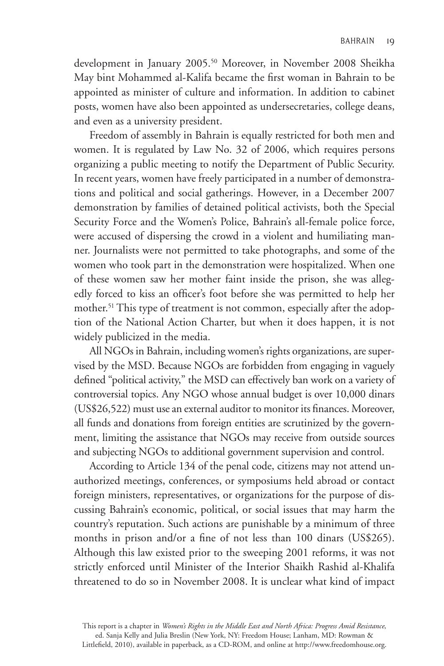development in January 2005.<sup>50</sup> Moreover, in November 2008 Sheikha May bint Mohammed al-Kalifa became the first woman in Bahrain to be ap pointed as minister of culture and information. In addition to cabinet posts, women have also been appointed as undersecretaries, college deans, and even as a university president.

Freedom of assembly in Bahrain is equally restricted for both men and women. It is regulated by Law No. 32 of 2006, which requires persons organizing a public meeting to notify the Department of Public Security. In recent years, women have freely participated in a number of demonstrations and political and social gatherings. However, in a December 2007 demonstration by families of detained political activists, both the Special Security Force and the Women's Police, Bahrain's all-female police force, were accused of dispersing the crowd in a violent and humiliating manner. Journalists were not permitted to take photographs, and some of the women who took part in the demonstration were hospitalized. When one of these women saw her mother faint inside the prison, she was allegedly forced to kiss an officer's foot before she was permitted to help her mother.<sup>51</sup> This type of treatment is not common, especially after the adoption of the National Action Charter, but when it does happen, it is not widely publicized in the media.

All NGOs in Bahrain, including women's rights organizations, are supervised by the MSD. Because NGOs are forbidden from engaging in vaguely defined "political activity," the MSD can effectively ban work on a variety of controversial topics. Any NGO whose annual budget is over 10,000 dinars (US\$26,522) must use an external auditor to monitor its finances. Moreover, all funds and donations from foreign entities are scrutinized by the government, limiting the assistance that NGOs may receive from outside sources and subjecting NGOs to additional government supervision and control.

According to Article 134 of the penal code, citizens may not attend unauthorized meetings, conferences, or symposiums held abroad or contact foreign ministers, representatives, or organizations for the purpose of discussing Bahrain's economic, political, or social issues that may harm the country's reputation. Such actions are punishable by a minimum of three months in prison and/or a fine of not less than 100 dinars (US\$265). Although this law existed prior to the sweeping 2001 reforms, it was not strictly enforced until Minister of the Interior Shaikh Rashid al-Khalifa threatened to do so in November 2008. It is unclear what kind of impact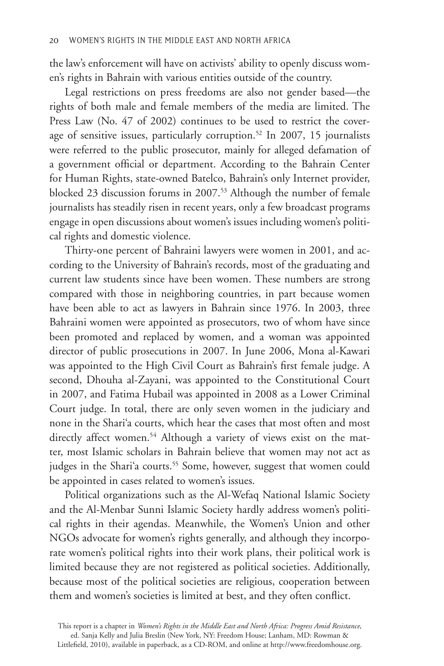the law's enforcement will have on activists' ability to openly discuss women's rights in Bahrain with various entities outside of the country.

Legal restrictions on press freedoms are also not gender based—the rights of both male and female members of the media are limited. The Press Law (No. 47 of 2002) continues to be used to restrict the coverage of sensitive issues, particularly corruption.<sup>52</sup> In 2007, 15 journalists were referred to the public prosecutor, mainly for alleged defamation of a government official or department. According to the Bahrain Center for Human Rights, state-owned Batelco, Bahrain's only Internet provider, blocked 23 discussion forums in 2007.53 Although the number of female journalists has steadily risen in recent years, only a few broadcast programs engage in open discussions about women's issues including women's political rights and domestic violence.

Thirty-one percent of Bahraini lawyers were women in 2001, and according to the University of Bahrain's records, most of the graduating and current law students since have been women. These numbers are strong compared with those in neighboring countries, in part because women have been able to act as lawyers in Bahrain since 1976. In 2003, three Bahraini women were appointed as prosecutors, two of whom have since been promoted and replaced by women, and a woman was appointed director of public prosecutions in 2007. In June 2006, Mona al-Kawari was appointed to the High Civil Court as Bahrain's first female judge. A second, Dhouha al-Zayani, was appointed to the Constitutional Court in 2007, and Fatima Hubail was appointed in 2008 as a Lower Criminal Court judge. In total, there are only seven women in the judiciary and none in the Shari'a courts, which hear the cases that most often and most directly affect women.<sup>54</sup> Although a variety of views exist on the matter, most Islamic scholars in Bahrain believe that women may not act as judges in the Shari'a courts.<sup>55</sup> Some, however, suggest that women could be appointed in cases related to women's issues.

Political organizations such as the Al-Wefaq National Islamic Society and the Al-Menbar Sunni Islamic Society hardly address women's political rights in their agendas. Meanwhile, the Women's Union and other NGOs advocate for women's rights generally, and although they incorporate women's political rights into their work plans, their political work is limited because they are not registered as political societies. Additionally, because most of the political societies are religious, cooperation between them and women's societies is limited at best, and they often conflict.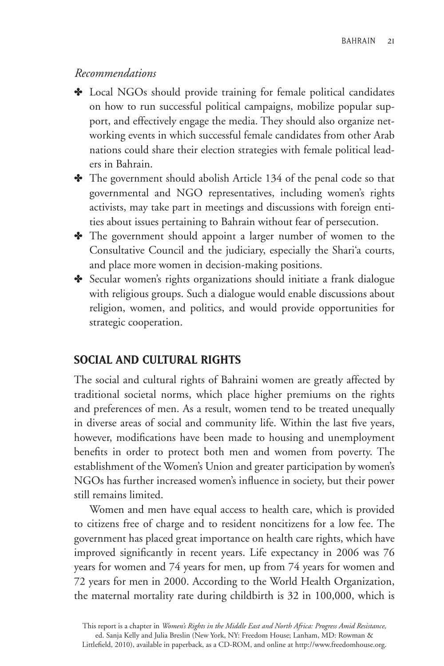### *Recommendations*

- $\triangleq$  Local NGOs should provide training for female political candidates on how to run successful political campaigns, mobilize popular support, and effectively engage the media. They should also organize networking events in which successful female candidates from other Arab nations could share their election strategies with female political leaders in Bahrain.
- $\cdot \cdot$  The government should abolish Article 134 of the penal code so that governmental and NGO representatives, including women's rights activists, may take part in meetings and discussions with foreign entities about issues pertaining to Bahrain without fear of persecution.
- $\triangleq$  The government should appoint a larger number of women to the Consultative Council and the judiciary, especially the Shari'a courts, and place more women in decision-making positions.
- F Secular women's rights organizations should initiate a frank dialogue with religious groups. Such a dialogue would enable discussions about religion, women, and politics, and would provide opportunities for strategic cooperation.

## **SOCIAL AND CULTURAL RIGHTS**

The social and cultural rights of Bahraini women are greatly affected by traditional societal norms, which place higher premiums on the rights and preferences of men. As a result, women tend to be treated unequally in diverse areas of social and community life. Within the last five years, however, modifications have been made to housing and unemployment benefits in order to protect both men and women from poverty. The establishment of the Women's Union and greater participation by women's NGOs has further increased women's influence in society, but their power still remains limited.

Women and men have equal access to health care, which is provided to citizens free of charge and to resident noncitizens for a low fee. The government has placed great importance on health care rights, which have improved significantly in recent years. Life expectancy in 2006 was 76 years for women and 74 years for men, up from 74 years for women and 72 years for men in 2000. According to the World Health Organization, the maternal mortality rate during childbirth is 32 in 100,000, which is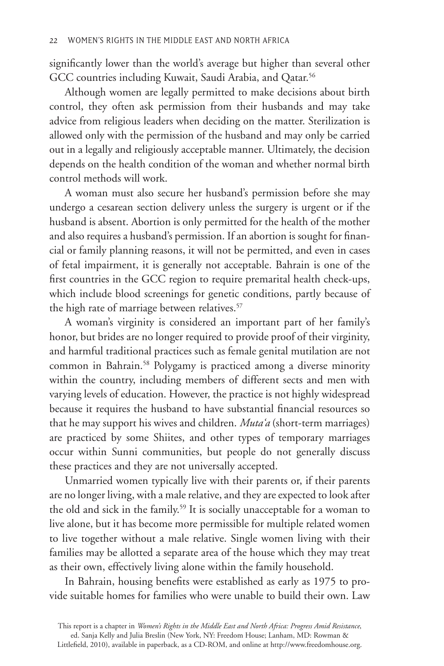significantly lower than the world's average but higher than several other GCC countries including Kuwait, Saudi Arabia, and Qatar.<sup>56</sup>

Although women are legally permitted to make decisions about birth control, they often ask permission from their husbands and may take advice from religious leaders when deciding on the matter. Sterilization is allowed only with the permission of the husband and may only be carried out in a legally and religiously acceptable manner. Ultimately, the decision depends on the health condition of the woman and whether normal birth control methods will work.

A woman must also secure her husband's permission before she may undergo a cesarean section delivery unless the surgery is urgent or if the husband is absent. Abortion is only permitted for the health of the mother and also requires a husband's permission. If an abortion is sought for financial or family planning reasons, it will not be permitted, and even in cases of fetal impairment, it is generally not acceptable. Bahrain is one of the first countries in the GCC region to require premarital health check-ups, which include blood screenings for genetic conditions, partly because of the high rate of marriage between relatives.<sup>57</sup>

A woman's virginity is considered an important part of her family's honor, but brides are no longer required to provide proof of their virginity, and harmful traditional practices such as female genital mutilation are not common in Bahrain.58 Polygamy is practiced among a diverse minority within the country, including members of different sects and men with varying levels of education. However, the practice is not highly widespread because it requires the husband to have substantial financial resources so that he may support his wives and children. *Muta'a* (short-term marriages) are practiced by some Shiites, and other types of temporary marriages occur within Sunni communities, but people do not generally discuss these practices and they are not universally accepted.

Unmarried women typically live with their parents or, if their parents are no longer living, with a male relative, and they are expected to look after the old and sick in the family.59 It is socially unacceptable for a woman to live alone, but it has become more permissible for multiple related women to live together without a male relative. Single women living with their families may be allotted a separate area of the house which they may treat as their own, effectively living alone within the family household.

In Bahrain, housing benefits were established as early as 1975 to provide suitable homes for families who were unable to build their own. Law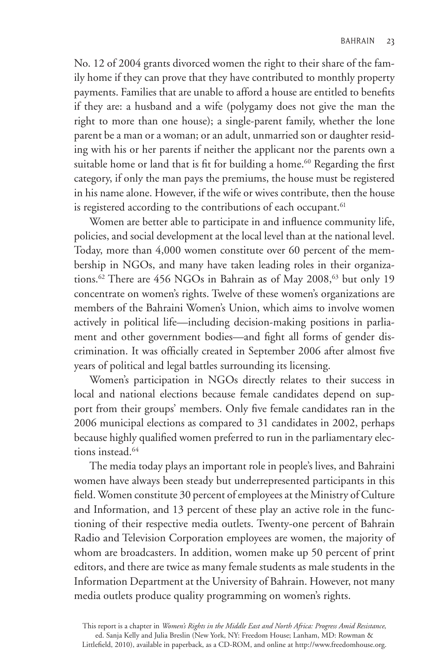No. 12 of 2004 grants divorced women the right to their share of the family home if they can prove that they have contributed to monthly property payments. Families that are unable to afford a house are entitled to benefits if they are: a husband and a wife (polygamy does not give the man the right to more than one house); a single-parent family, whether the lone parent be a man or a woman; or an adult, unmarried son or daughter residing with his or her parents if neither the applicant nor the parents own a suitable home or land that is fit for building a home.<sup>60</sup> Regarding the first category, if only the man pays the premiums, the house must be registered in his name alone. However, if the wife or wives contribute, then the house is registered according to the contributions of each occupant.<sup>61</sup>

Women are better able to participate in and influence community life, policies, and social development at the local level than at the national level. Today, more than 4,000 women constitute over 60 percent of the membership in NGOs, and many have taken leading roles in their organizations.<sup>62</sup> There are 456 NGOs in Bahrain as of May 2008,<sup>63</sup> but only 19 concentrate on women's rights. Twelve of these women's organizations are members of the Bahraini Women's Union, which aims to involve women actively in political life—including decision-making positions in parliament and other government bodies—and fight all forms of gender discrimination. It was officially created in September 2006 after almost five years of political and legal battles surrounding its licensing.

Women's participation in NGOs directly relates to their success in local and national elections because female candidates depend on support from their groups' members. Only five female candidates ran in the 2006 municipal elections as compared to 31 candidates in 2002, perhaps because highly qualified women preferred to run in the parliamentary elections instead.<sup>64</sup>

The media today plays an important role in people's lives, and Bahraini women have always been steady but underrepresented participants in this field. Women constitute 30 percent of employees at the Ministry of Culture and Information, and 13 percent of these play an active role in the functioning of their respective media outlets. Twenty-one percent of Bahrain Radio and Television Corporation employees are women, the majority of whom are broadcasters. In addition, women make up 50 percent of print editors, and there are twice as many female students as male students in the Information Department at the University of Bahrain. However, not many media outlets produce quality programming on women's rights.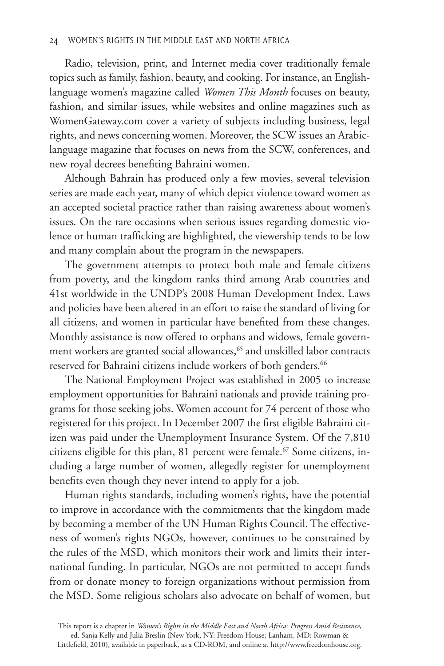Radio, television, print, and Internet media cover traditionally female topics such as family, fashion, beauty, and cooking. For instance, an Englishlanguage women's magazine called *Women This Month* focuses on beauty, fashion, and similar issues, while websites and online magazines such as WomenGateway.com cover a variety of subjects including business, legal rights, and news concerning women. Moreover, the SCW issues an Arabiclanguage magazine that focuses on news from the SCW, conferences, and new royal decrees benefiting Bahraini women.

Although Bahrain has produced only a few movies, several television series are made each year, many of which depict violence toward women as an accepted societal practice rather than raising awareness about women's issues. On the rare occasions when serious issues regarding domestic violence or human trafficking are highlighted, the viewership tends to be low and many complain about the program in the newspapers.

The government attempts to protect both male and female citizens from poverty, and the kingdom ranks third among Arab countries and 41st worldwide in the UNDP's 2008 Human Development Index. Laws and policies have been altered in an effort to raise the standard of living for all citizens, and women in particular have benefited from these changes. Monthly assistance is now offered to orphans and widows, female government workers are granted social allowances,<sup>65</sup> and unskilled labor contracts reserved for Bahraini citizens include workers of both genders.<sup>66</sup>

The National Employment Project was established in 2005 to increase employment opportunities for Bahraini nationals and provide training programs for those seeking jobs. Women account for 74 percent of those who registered for this project. In December 2007 the first eligible Bahraini citizen was paid under the Unemployment Insurance System. Of the 7,810 citizens eligible for this plan, 81 percent were female.<sup>67</sup> Some citizens, including a large number of women, allegedly register for unemployment benefits even though they never intend to apply for a job.

Human rights standards, including women's rights, have the potential to improve in accordance with the commitments that the kingdom made by becoming a member of the UN Human Rights Council. The effectiveness of women's rights NGOs, however, continues to be constrained by the rules of the MSD, which monitors their work and limits their international funding. In particular, NGOs are not permitted to accept funds from or donate money to foreign organizations without permission from the MSD. Some religious scholars also advocate on behalf of women, but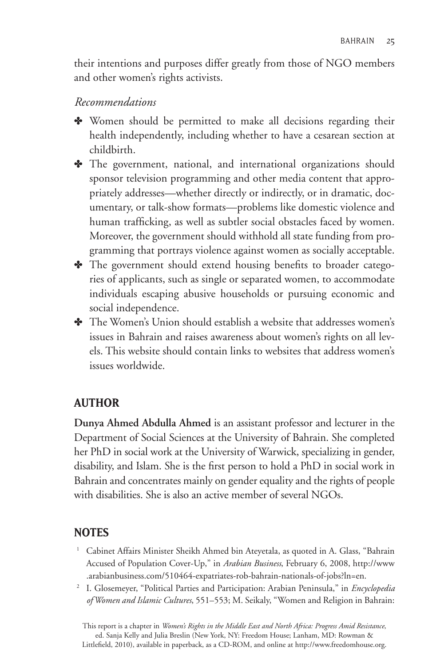their intentions and purposes differ greatly from those of NGO members and other women's rights activists.

## *Recommendations*

- Women should be permitted to make all decisions regarding their health independently, including whether to have a cesarean section at childbirth.
- $\cdot \cdot$  The government, national, and international organizations should sponsor television programming and other media content that appropriately addresses—whether directly or indirectly, or in dramatic, documentary, or talk-show formats—problems like domestic violence and human trafficking, as well as subtler social obstacles faced by women. Moreover, the government should withhold all state funding from programming that portrays violence against women as socially acceptable.
- \* The government should extend housing benefits to broader categories of applicants, such as single or separated women, to accommodate individuals escaping abusive households or pursuing economic and social independence.
- The Women's Union should establish a website that addresses women's issues in Bahrain and raises awareness about women's rights on all levels. This website should contain links to websites that address women's issues worldwide.

# **AUTHOR**

**Dunya Ahmed Abdulla Ahmed** is an assistant professor and lecturer in the Department of Social Sciences at the University of Bahrain. She completed her PhD in social work at the University of Warwick, specializing in gender, disability, and Islam. She is the first person to hold a PhD in social work in Bahrain and concentrates mainly on gender equality and the rights of people with disabilities. She is also an active member of several NGOs.

# **NOTES**

- <sup>1</sup> Cabinet Affairs Minister Sheikh Ahmed bin Ateyetala, as quoted in A. Glass, "Bahrain Accused of Population Cover-Up," in *Arabian Business*, February 6, 2008, http://www .arabianbusiness.com/510464-expatriates-rob-bahrain-nationals-of-jobs?ln=en.
- 2 I. Glosemeyer, "Political Parties and Participation: Arabian Peninsula," in *Encyclopedia of Women and Islamic Cultures*, 551–553; M. Seikaly, "Women and Religion in Bahrain: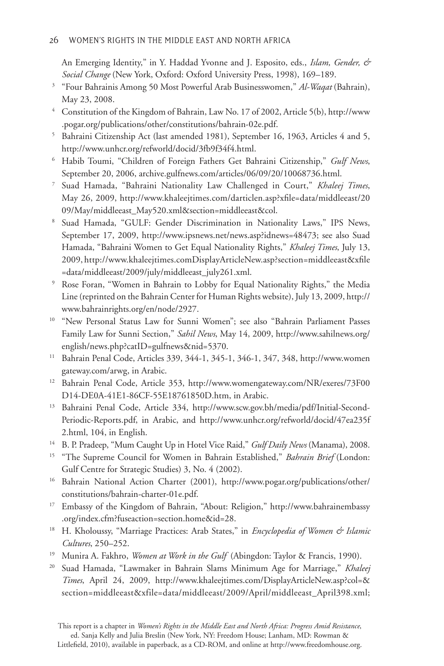An Emerging Identity," in Y. Haddad Yvonne and J. Esposito, eds., *Islam, Gender, & Social Change* (New York, Oxford: Oxford University Press, 1998), 169–189.

- 3 "Four Bahrainis Among 50 Most Powerful Arab Businesswomen," *Al-Waqat* (Bahrain), May 23, 2008.
- 4 Constitution of the Kingdom of Bahrain, Law No. 17 of 2002, Article 5(b), http://www .pogar.org/publications/other/constitutions/bahrain-02e.pdf.
- 5 Bahraini Citizenship Act (last amended 1981), September 16, 1963, Articles 4 and 5, http://www.unhcr.org/refworld/docid/3fb9f34f4.html.
- 6 Habib Toumi, "Children of Foreign Fathers Get Bahraini Citizenship," *Gulf News*, September 20, 2006, archive.gulfnews.com/articles/06/09/20/10068736.html.
- 7 Suad Hamada, "Bahraini Nationality Law Challenged in Court," *Khaleej Times*, May 26, 2009, http://www.khaleejtimes.com/darticlen.asp?xfile=data/middleeast/20 09/May/middleeast\_May520.xml&section=middleeast&col.
- 8 Suad Hamada, "GULF: Gender Discrimination in Nationality Laws," IPS News, September 17, 2009, http://www.ipsnews.net/news.asp?idnews=48473; see also Suad Hamada, "Bahraini Women to Get Equal Nationality Rights," *Khaleej Times*, July 13, 2009, http://www.khaleejtimes.comDisplayArticleNew.asp?section=middleeast&xfile =data/middleeast/2009/july/middleeast\_july261.xml.
- 9 Rose Foran, "Women in Bahrain to Lobby for Equal Nationality Rights," the Media Line (reprinted on the Bahrain Center for Human Rights website), July 13, 2009, http:// www.bahrainrights.org/en/node/2927.
- <sup>10</sup> "New Personal Status Law for Sunni Women"; see also "Bahrain Parliament Passes Family Law for Sunni Section," *Sahil News*, May 14, 2009, http://www.sahilnews.org/ english/news.php?catID=gulfnews&nid=5370.
- 11 Bahrain Penal Code, Articles 339, 344-1, 345-1, 346-1, 347, 348, http://www.women gateway.com/arwg, in Arabic.
- <sup>12</sup> Bahrain Penal Code, Article 353, http://www.womengateway.com/NR/exeres/73F00 D14-DE0A-41E1-86CF-55E18761850D.htm, in Arabic.
- 13 Bahraini Penal Code, Article 334, http://www.scw.gov.bh/media/pdf/Initial-Second-Periodic-Reports.pdf, in Arabic, and http://www.unhcr.org/refworld/docid/47ea235f 2.html, 104, in English.
- <sup>14</sup> B. P. Pradeep, "Mum Caught Up in Hotel Vice Raid," *Gulf Daily News* (Manama), 2008.
- <sup>15</sup> "The Supreme Council for Women in Bahrain Established," *Bahrain Brief* (London: Gulf Centre for Strategic Studies) 3, No. 4 (2002).
- 16 Bahrain National Action Charter (2001), http://www.pogar.org/publications/other/ constitutions/bahrain-charter-01e.pdf.
- <sup>17</sup> Embassy of the Kingdom of Bahrain, "About: Religion," http://www.bahrainembassy .org/index.cfm?fuseaction=section.home&id=28.
- 18 H. Kholoussy, "Marriage Practices: Arab States," in *Encyclopedia of Women & Islamic Cultures*, 250–252.
- <sup>19</sup> Munira A. Fakhro, *Women at Work in the Gulf* (Abingdon: Taylor & Francis, 1990).
- 20 Suad Hamada, "Lawmaker in Bahrain Slams Minimum Age for Marriage," *Khaleej Times*, April 24, 2009, http://www.khaleejtimes.com/DisplayArticleNew.asp?col=& section=middleeast&xfile=data/middleeast/2009/April/middleeast\_April398.xml;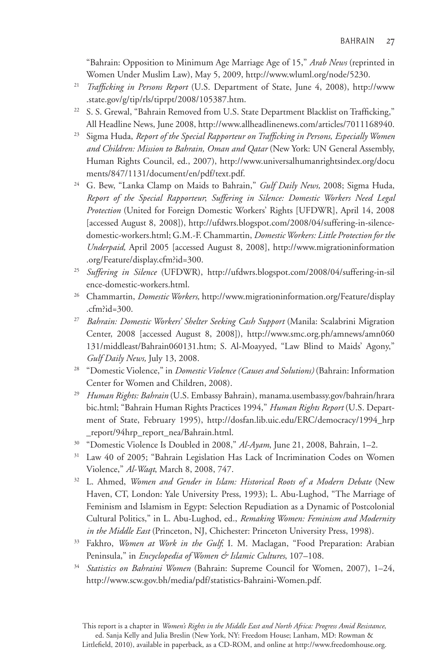"Bahrain: Opposition to Minimum Age Marriage Age of 15," *Arab News* (reprinted in Women Under Muslim Law), May 5, 2009, http://www.wluml.org/node/5230.

- <sup>21</sup> *Trafficking in Persons Report* (U.S. Department of State, June 4, 2008), http://www .state.gov/g/tip/rls/tiprpt/2008/105387.htm.
- <sup>22</sup> S. S. Grewal, "Bahrain Removed from U.S. State Department Blacklist on Trafficking," All Headline News, June 2008, http://www.allheadlinenews.com/articles/7011168940.
- <sup>23</sup> Sigma Huda, *Report of the Special Rapporteur on Trafficking in Persons, Especially Women and Children: Mission to Bahrain, Oman and Qatar* (New York: UN General Assembly, Human Rights Council, ed., 2007), http://www.universalhumanrightsindex.org/docu ments/847/1131/document/en/pdf/text.pdf.
- 24 G. Bew, "Lanka Clamp on Maids to Bahrain," *Gulf Daily News,* 2008; Sigma Huda, *Report of the Special Rapporteur*; *Suffering in Silence: Domestic Workers Need Legal Protection* (United for Foreign Domestic Workers' Rights [UFDWR], April 14, 2008 [accessed August 8, 2008]), http://ufdwrs.blogspot.com/2008/04/suffering-in-silencedomestic-workers.html; G.M.-F. Chammartin, *Domestic Workers: Little Protection for the Underpaid,* April 2005 [accessed August 8, 2008], http://www.migrationinformation .org/Feature/display.cfm?id=300.
- 25 *Suffering in Silence* (UFDWR), http://ufdwrs.blogspot.com/2008/04/suffering-in-sil ence-domestic-workers.html.
- 26 Chammartin, *Domestic Workers,* http://www.migrationinformation.org/Feature/display .cfm?id=300.
- 27 *Bahrain: Domestic Workers' Shelter Seeking Cash Support* (Manila: Scalabrini Migration Center, 2008 [accessed August 8, 2008]), http://www.smc.org.ph/amnews/amn060 131/middleast/Bahrain060131.htm; S. Al-Moayyed, "Law Blind to Maids' Agony," *Gulf Daily News,* July 13, 2008.
- 28 "Domestic Violence," in *Domestic Violence (Causes and Solutions)* (Bahrain: Information Center for Women and Children, 2008).
- 29 *Human Rights: Bahrain* (U.S. Embassy Bahrain), manama.usembassy.gov/bahrain/hrara bic.html; "Bahrain Human Rights Practices 1994," *Human Rights Report* (U.S. Department of State, February 1995), http://dosfan.lib.uic.edu/ERC/democracy/1994\_hrp \_report/94hrp\_report\_nea/Bahrain.html.
- 30 "Domestic Violence Is Doubled in 2008," *Al-Ayam*, June 21, 2008, Bahrain, 1–2.
- <sup>31</sup> Law 40 of 2005; "Bahrain Legislation Has Lack of Incrimination Codes on Women Violence," *Al-Waqt*, March 8, 2008, 747.
- 32 L. Ahmed, *Women and Gender in Islam: Historical Roots of a Modern Debate* (New Haven, CT, London: Yale University Press, 1993); L. Abu-Lughod, "The Marriage of Feminism and Islamism in Egypt: Selection Repudiation as a Dynamic of Postcolonial Cultural Politics," in L. Abu-Lughod, ed., *Remaking Women: Feminism and Modernity in the Middle East* (Princeton, NJ, Chichester: Princeton University Press, 1998).
- 33 Fakhro, *Women at Work in the Gulf*; I. M. Maclagan, "Food Preparation: Arabian Peninsula," in *Encyclopedia of Women & Islamic Cultures*, 107–108.
- <sup>34</sup> *Statistics on Bahraini Women* (Bahrain: Supreme Council for Women, 2007), 1–24, http://www.scw.gov.bh/media/pdf/statistics-Bahraini-Women.pdf.

This report is a chapter in *Women's Rights in the Middle East and North Africa: Progress Amid Resistance*, ed. Sanja Kelly and Julia Breslin (New York, NY: Freedom House; Lanham, MD: Rowman & Littlefield, 2010), available in paperback, as a CD-ROM, and online at http://www.freedomhouse.org.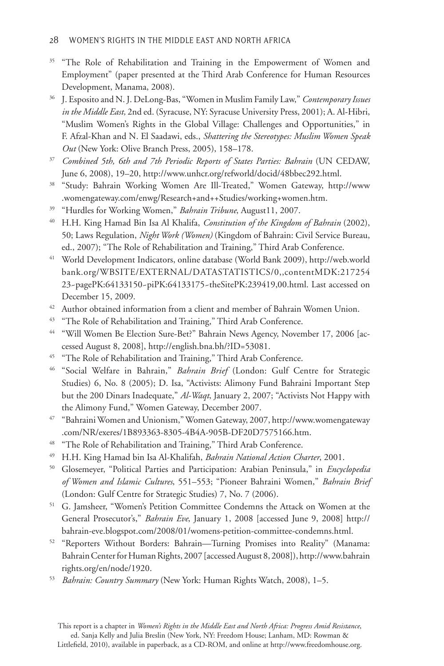#### 28 WOMEN'S RIGHTS IN THE MIDDLE EAST AND NORTH AFRICA

- <sup>35</sup> "The Role of Rehabilitation and Training in the Empowerment of Women and Employment" (paper presented at the Third Arab Conference for Human Resources Development, Manama, 2008).
- 36 J. Esposito and N. J. DeLong-Bas, "Women in Muslim Family Law," *Contemporary Issues in the Middle East,* 2nd ed. (Syracuse, NY: Syracuse University Press, 2001); A. Al-Hibri, "Muslim Women's Rights in the Global Village: Challenges and Opportunities," in F. Afzal-Khan and N. El Saadawi, eds., *Shattering the Stereotypes: Muslim Women Speak Out* (New York: Olive Branch Press, 2005), 158–178.
- <sup>37</sup> *Combined 5th, 6th and 7th Periodic Reports of States Parties: Bahrain* (UN CEDAW, June 6, 2008), 19–20, http://www.unhcr.org/refworld/docid/48bbec292.html.
- 38 "Study: Bahrain Working Women Are Ill-Treated," Women Gateway, http://www .womengateway.com/enwg/Research+and++Studies/working+women.htm.
- <sup>39</sup> "Hurdles for Working Women," *Bahrain Tribune*, August11, 2007.
- 40 H.H. King Hamad Bin Isa Al Khalifa, *Constitution of the Kingdom of Bahrain* (2002), 50; Laws Regulation, *Night Work (Women)* (Kingdom of Bahrain: Civil Service Bureau, ed., 2007); "The Role of Rehabilitation and Training," Third Arab Conference.
- 41 World Development Indicators, online database (World Bank 2009), http://web.world bank.org/WBSITE/EXTERNAL/DATASTATISTICS/0,,contentMDK:217254 23~pagePK:64133150~piPK:64133175~theSitePK:239419,00.html. Last accessed on December 15, 2009.
- <sup>42</sup> Author obtained information from a client and member of Bahrain Women Union.
- <sup>43</sup> "The Role of Rehabilitation and Training," Third Arab Conference.
- <sup>44</sup> "Will Women Be Election Sure-Bet?" Bahrain News Agency, November 17, 2006 [accessed August 8, 2008], http://english.bna.bh/?ID=53081.
- <sup>45</sup> "The Role of Rehabilitation and Training," Third Arab Conference.
- 46 "Social Welfare in Bahrain," *Bahrain Brief* (London: Gulf Centre for Strategic Studies) 6, No. 8 (2005); D. Isa, "Activists: Alimony Fund Bahraini Important Step but the 200 Dinars Inadequate," *Al-Waqt*, January 2, 2007; "Activists Not Happy with the Alimony Fund," Women Gateway, December 2007.
- 47 "Bahraini Women and Unionism," Women Gateway, 2007, http://www.womengateway .com/NR/exeres/1B893363-8305-4B4A-905B-DF20D7575166.htm.
- <sup>48</sup> "The Role of Rehabilitation and Training," Third Arab Conference.
- 49 H.H. King Hamad bin Isa Al-Khalifah, *Bahrain National Action Charter*, 2001.
- 50 Glosemeyer, "Political Parties and Participation: Arabian Peninsula," in *Encyclopedia of Women and Islamic Cultures*, 551–553; "Pioneer Bahraini Women," *Bahrain Brief*  (London: Gulf Centre for Strategic Studies) 7, No. 7 (2006).
- 51 G. Jamsheer, "Women's Petition Committee Condemns the Attack on Women at the General Prosecutor's," *Bahrain Eve*, January 1, 2008 [accessed June 9, 2008] http:// bahrain-eve.blogspot.com/2008/01/womens-petition-committee-condemns.html.
- 52 "Reporters Without Borders: Bahrain—Turning Promises into Reality" (Manama: Bahrain Center for Human Rights, 2007 [accessed August 8, 2008]), http://www.bahrain rights.org/en/node/1920.
- <sup>53</sup> *Bahrain: Country Summary* (New York: Human Rights Watch, 2008), 1–5.